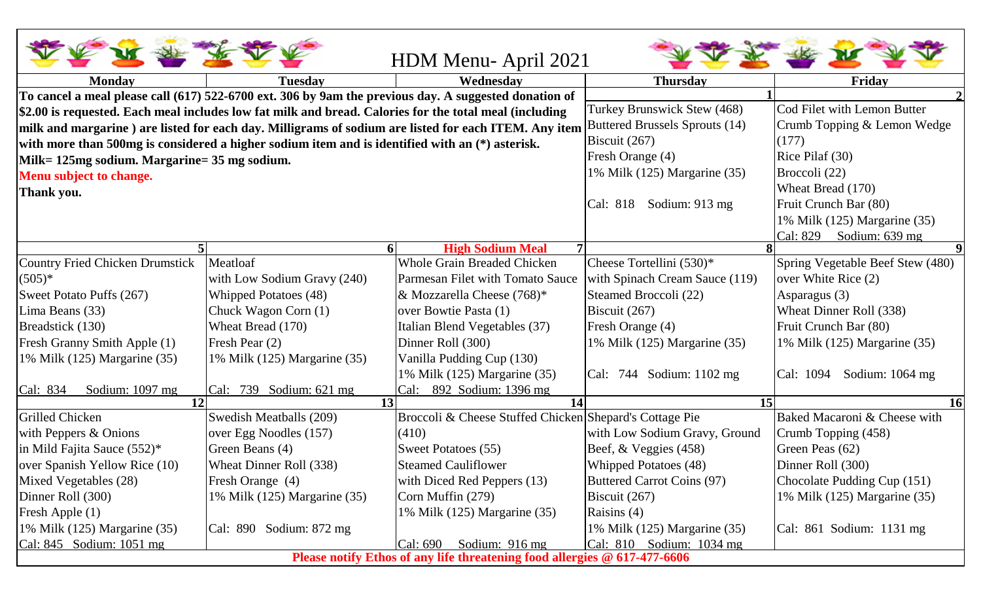|                                                                                                       |                                                                                                        | HDM Menu-April 2021                                     |                                   |                                  |  |  |  |
|-------------------------------------------------------------------------------------------------------|--------------------------------------------------------------------------------------------------------|---------------------------------------------------------|-----------------------------------|----------------------------------|--|--|--|
| <b>Monday</b>                                                                                         | Tuesdav                                                                                                | Wednesdav                                               | <b>Thursday</b>                   | Friday                           |  |  |  |
|                                                                                                       | To cancel a meal please call (617) 522-6700 ext. 306 by 9am the previous day. A suggested donation of  |                                                         |                                   |                                  |  |  |  |
|                                                                                                       | \$2.00 is requested. Each meal includes low fat milk and bread. Calories for the total meal (including | Turkey Brunswick Stew (468)                             | Cod Filet with Lemon Butter       |                                  |  |  |  |
| milk and margarine ) are listed for each day. Milligrams of sodium are listed for each ITEM. Any item |                                                                                                        |                                                         | Buttered Brussels Sprouts (14)    | Crumb Topping & Lemon Wedge      |  |  |  |
|                                                                                                       | with more than 500mg is considered a higher sodium item and is identified with an (*) asterisk.        | Biscuit $(267)$                                         | (177)                             |                                  |  |  |  |
| Milk= 125mg sodium. Margarine= 35 mg sodium.                                                          |                                                                                                        | Fresh Orange (4)                                        | Rice Pilaf (30)                   |                                  |  |  |  |
| Menu subject to change.                                                                               |                                                                                                        | 1% Milk (125) Margarine (35)                            | Broccoli (22)                     |                                  |  |  |  |
| Thank you.                                                                                            |                                                                                                        |                                                         | Wheat Bread (170)                 |                                  |  |  |  |
|                                                                                                       |                                                                                                        |                                                         | Cal: 818<br>Sodium: 913 mg        | Fruit Crunch Bar (80)            |  |  |  |
|                                                                                                       |                                                                                                        |                                                         |                                   | 1% Milk (125) Margarine (35)     |  |  |  |
|                                                                                                       |                                                                                                        |                                                         |                                   | Cal: 829<br>Sodium: 639 mg       |  |  |  |
|                                                                                                       |                                                                                                        | <b>High Sodium Meal</b><br>$\overline{7}$               |                                   |                                  |  |  |  |
| <b>Country Fried Chicken Drumstick</b>                                                                | Meatloaf                                                                                               | <b>Whole Grain Breaded Chicken</b>                      | Cheese Tortellini $(530)^*$       | Spring Vegetable Beef Stew (480) |  |  |  |
| $(505)*$                                                                                              | with Low Sodium Gravy (240)                                                                            | Parmesan Filet with Tomato Sauce                        | with Spinach Cream Sauce (119)    | over White Rice (2)              |  |  |  |
| Sweet Potato Puffs (267)                                                                              | Whipped Potatoes (48)                                                                                  | & Mozzarella Cheese $(768)^*$                           | Steamed Broccoli (22)             | Asparagus (3)                    |  |  |  |
| Lima Beans (33)                                                                                       | Chuck Wagon Corn (1)                                                                                   | over Bowtie Pasta (1)                                   | Biscuit $(267)$                   | Wheat Dinner Roll (338)          |  |  |  |
| Breadstick (130)                                                                                      | Wheat Bread (170)                                                                                      | Italian Blend Vegetables (37)                           | Fresh Orange (4)                  | Fruit Crunch Bar (80)            |  |  |  |
| Fresh Granny Smith Apple (1)                                                                          | Fresh Pear (2)                                                                                         | Dinner Roll (300)                                       | 1% Milk (125) Margarine (35)      | 1% Milk (125) Margarine (35)     |  |  |  |
| 1% Milk (125) Margarine (35)                                                                          | 1% Milk (125) Margarine (35)                                                                           | Vanilla Pudding Cup (130)                               |                                   |                                  |  |  |  |
|                                                                                                       |                                                                                                        | 1% Milk (125) Margarine (35)                            | Cal: 744 Sodium: 1102 mg          | Sodium: 1064 mg<br>Cal: 1094     |  |  |  |
| Cal: 834<br>Sodium: 1097 mg                                                                           | $ Cal: 739$ Sodium: 621 mg                                                                             | 892 Sodium: 1396 mg<br>Cal:                             |                                   |                                  |  |  |  |
|                                                                                                       | 13                                                                                                     | 14                                                      | 15                                | <b>16</b>                        |  |  |  |
| Grilled Chicken                                                                                       | Swedish Meatballs (209)                                                                                | Broccoli & Cheese Stuffed Chicken Shepard's Cottage Pie |                                   | Baked Macaroni & Cheese with     |  |  |  |
| with Peppers $&$ Onions                                                                               | over Egg Noodles (157)                                                                                 | (410)                                                   | with Low Sodium Gravy, Ground     | Crumb Topping (458)              |  |  |  |
| in Mild Fajita Sauce $(552)^*$                                                                        | Green Beans (4)                                                                                        | Sweet Potatoes (55)                                     | Beef, $& Veggies (458)$           | Green Peas (62)                  |  |  |  |
| over Spanish Yellow Rice (10)                                                                         | Wheat Dinner Roll (338)                                                                                | <b>Steamed Cauliflower</b>                              | <b>Whipped Potatoes (48)</b>      | Dinner Roll (300)                |  |  |  |
| Mixed Vegetables (28)                                                                                 | Fresh Orange (4)                                                                                       | with Diced Red Peppers (13)                             | <b>Buttered Carrot Coins (97)</b> | Chocolate Pudding Cup (151)      |  |  |  |
| Dinner Roll (300)                                                                                     | 1% Milk (125) Margarine (35)                                                                           | Corn Muffin (279)                                       | Biscuit $(267)$                   | 1% Milk $(125)$ Margarine $(35)$ |  |  |  |
| Fresh Apple (1)                                                                                       |                                                                                                        | 1% Milk (125) Margarine (35)                            | Raisins (4)                       |                                  |  |  |  |
| 1% Milk (125) Margarine (35)                                                                          | $ Cal: 890$ Sodium: 872 mg                                                                             |                                                         | 1% Milk $(125)$ Margarine $(35)$  | $ Cal: 861$ Sodium: 1131 mg      |  |  |  |
| Cal: 845 Sodium: 1051 mg                                                                              |                                                                                                        | Sodium: 916 mg<br>Cal: 690                              | Cal: $810$ Sodium: $1034$ mg      |                                  |  |  |  |
| Please notify Ethos of any life threatening food allergies @ 617-477-6606                             |                                                                                                        |                                                         |                                   |                                  |  |  |  |